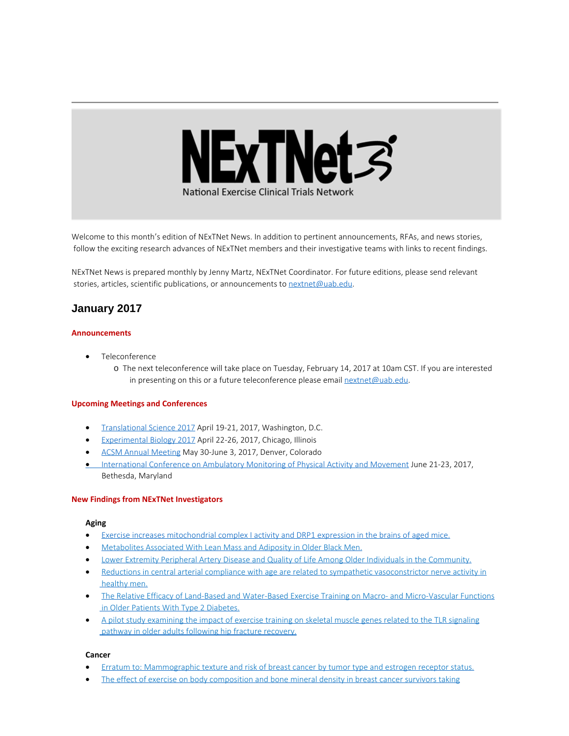

Welcome to this month's edition of NExTNet News. In addition to pertinent announcements, RFAs, and news stories, follow the exciting research advances of NExTNet members and their investigative teams with links to recent findings.

NExTNet News is prepared monthly by Jenny Martz, NExTNet Coordinator. For future editions, please send relevant stories, articles, scientific publications, or announcements to [nextnet@uab.edu](mailto:nextnet@uab.edu).

# **January 2017**

#### **Announcements**

- · Teleconference
	- o The next teleconference will take place on Tuesday, February 14, 2017 at 10am CST. If you are interested in presenting on this or a future teleconference please email  $next@$ uab.edu.

#### **Upcoming Meetings and Conferences**

- · [Translational Science 2017](http://www.actscience.org/ts2017?utm_source=CCTS+Digest+December+16%2C+2016&utm_campaign=Dec.+16%2C+2016+Digest&utm_medium=emailhttp://www.actscience.org/ts2017?utm_source=CCTS+Digest+December+16%2C+2016&utm_campaign=Dec.+16%2C+2016+Digest&utm_medium=email) April 19-21, 2017, Washington, D.C.
- · [Experimental Biology 2017](http://experimentalbiology.org/2017/Home.aspx) April 22-26, 2017, Chicago, Illinois
- · [ACSM Annual Meeting](http://www.acsm.org/attend-a-meeting/annual-meeting) May 30-June 3, 2017, Denver, Colorado
- [International Conference on Ambulatory Monitoring of Physical Activity and Movement](http://www.ismpb.org/2017-bethesda/) June 21-23, 2017, Bethesda, Maryland

#### **New Findings from NExTNet Investigators**

#### **Aging**

- · [Exercise increases mitochondrial complex I activity and DRP1 expression in the brains of aged mice.](http://www.ncbi.nlm.nih.gov/pubmed/28108329)
- · [Metabolites Associated With Lean Mass and Adiposity in Older Black Men.](https://www.ncbi.nlm.nih.gov/pubmed/28052980)
- · [Lower Extremity Peripheral Artery Disease and Quality of Life Among Older Individuals in the Community.](https://www.ncbi.nlm.nih.gov/pubmed/28108464)
- · [Reductions in central arterial compliance with age are related to sympathetic vasoconstrictor nerve activity in](https://www.ncbi.nlm.nih.gov/pubmed/28100923) [healthy men.](https://www.ncbi.nlm.nih.gov/pubmed/28100923)
- [The Relative Efficacy of Land-Based and Water-Based Exercise Training on Macro- and Micro-Vascular Functions](https://www.ncbi.nlm.nih.gov/pubmed/28095104) [in Older Patients With Type 2 Diabetes.](https://www.ncbi.nlm.nih.gov/pubmed/28095104)
- · [A pilot study examining the impact of exercise training on skeletal muscle genes related to the TLR signaling](https://www.ncbi.nlm.nih.gov/pubmed/27789770) [pathway in older adults following hip fracture recovery.](https://www.ncbi.nlm.nih.gov/pubmed/27789770)

#### **Cancer**

- [Erratum to: Mammographic texture and risk of breast cancer by tumor type and estrogen receptor status.](https://www.ncbi.nlm.nih.gov/pubmed/28052757)
- [The effect of exercise on body composition and bone mineral density in breast cancer survivors taking](https://www.ncbi.nlm.nih.gov/pubmed/28026901)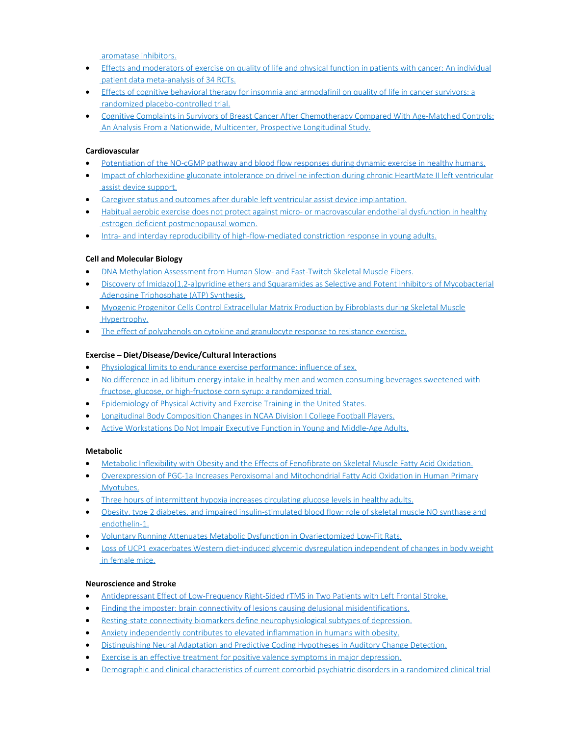[aromatase inhibitors.](https://www.ncbi.nlm.nih.gov/pubmed/28026901)

- · [Effects and moderators of exercise on quality of life and physical function in patients with cancer: An individual](https://www.ncbi.nlm.nih.gov/pubmed/28006694) [patient data meta-analysis of 34 RCTs.](https://www.ncbi.nlm.nih.gov/pubmed/28006694)
- · [Effects of cognitive behavioral therapy for insomnia and armodafinil on quality of life in cancer survivors: a](https://www.ncbi.nlm.nih.gov/pubmed/28105576) [randomized placebo-controlled trial.](https://www.ncbi.nlm.nih.gov/pubmed/28105576)
- · [Cognitive Complaints in Survivors of Breast Cancer After Chemotherapy Compared With Age-Matched Controls:](https://www.ncbi.nlm.nih.gov/pubmed/28029304) [An Analysis From a Nationwide, Multicenter, Prospective Longitudinal Study.](https://www.ncbi.nlm.nih.gov/pubmed/28029304)

## **Cardiovascular**

- [Potentiation of the NO-cGMP pathway and blood flow responses during dynamic exercise in healthy humans.](http://www.ncbi.nlm.nih.gov/pubmed/28013386)
- · [Impact of chlorhexidine gluconate intolerance on driveline infection during chronic HeartMate II left ventricular](https://www.ncbi.nlm.nih.gov/pubmed/28085173) [assist device support.](https://www.ncbi.nlm.nih.gov/pubmed/28085173)
- · [Caregiver status and outcomes after durable left ventricular assist device implantation.](https://www.ncbi.nlm.nih.gov/pubmed/28057337)
- · [Habitual aerobic exercise does not protect against micro- or macrovascular endothelial dysfunction in healthy](https://www.ncbi.nlm.nih.gov/pubmed/27834671) [estrogen-deficient postmenopausal women.](https://www.ncbi.nlm.nih.gov/pubmed/27834671)
- · [Intra- and interday reproducibility of high-flow-mediated constriction response in young adults.](https://www.ncbi.nlm.nih.gov/pubmed/28025878)

# **Cell and Molecular Biology**

- · [DNA Methylation Assessment from Human Slow- and Fast-Twitch Skeletal Muscle Fibers.](https://www.ncbi.nlm.nih.gov/pubmed/28057818)
- [Discovery of Imidazo\[1,2-a\]pyridine ethers and Squaramides as Selective and Potent Inhibitors of Mycobacterial](https://www.ncbi.nlm.nih.gov/pubmed/28075132) [Adenosine Triphosphate \(ATP\) Synthesis.](https://www.ncbi.nlm.nih.gov/pubmed/28075132)
- · [Myogenic Progenitor Cells Control Extracellular Matrix Production by Fibroblasts during Skeletal Muscle](https://www.ncbi.nlm.nih.gov/pubmed/27840022) [Hypertrophy.](https://www.ncbi.nlm.nih.gov/pubmed/27840022)
- [The effect of polyphenols on cytokine and granulocyte response to resistance exercise.](https://www.ncbi.nlm.nih.gov/pubmed/28039406)

### **Exercise – Diet/Disease/Device/Cultural Interactions**

- · [Physiological limits to endurance exercise performance: influence of sex.](https://www.ncbi.nlm.nih.gov/pubmed/28028816)
- · [No difference in ad libitum energy intake in healthy men and women consuming beverages sweetened with](https://www.ncbi.nlm.nih.gov/pubmed/26537945) [fructose, glucose, or high-fructose corn syrup: a randomized trial.](https://www.ncbi.nlm.nih.gov/pubmed/26537945)
- **[Epidemiology of Physical Activity and Exercise Training in the United States.](https://www.ncbi.nlm.nih.gov/pubmed/28089610)**
- · [Longitudinal Body Composition Changes in NCAA Division I College Football Players.](https://www.ncbi.nlm.nih.gov/pubmed/28005635)
- · [Active Workstations Do Not Impair Executive Function in Young and Middle-Age Adults.](https://www.ncbi.nlm.nih.gov/pubmed/28009785)

### **Metabolic**

- · [Metabolic Inflexibility with Obesity and the Effects of Fenofibrate on Skeletal Muscle Fatty Acid Oxidation.](https://www.ncbi.nlm.nih.gov/pubmed/28103623)
- · [Overexpression of PGC-1a Increases Peroxisomal and Mitochondrial Fatty Acid Oxidation in Human Primary](https://www.ncbi.nlm.nih.gov/pubmed/28073778) [Myotubes.](https://www.ncbi.nlm.nih.gov/pubmed/28073778)
- · [Three hours of intermittent hypoxia increases circulating glucose levels in healthy adults.](https://www.ncbi.nlm.nih.gov/pubmed/28087818)
- · [Obesity, type 2 diabetes, and impaired insulin-stimulated blood flow: role of skeletal muscle NO synthase and](https://www.ncbi.nlm.nih.gov/pubmed/27789766) [endothelin-1.](https://www.ncbi.nlm.nih.gov/pubmed/27789766)
- · [Voluntary Running Attenuates Metabolic Dysfunction in Ovariectomized Low-Fit Rats.](https://www.ncbi.nlm.nih.gov/pubmed/27669449)
- · [Loss of UCP1 exacerbates Western diet-induced glycemic dysregulation independent of changes in body weight](https://www.ncbi.nlm.nih.gov/pubmed/27881400) [in female mice.](https://www.ncbi.nlm.nih.gov/pubmed/27881400)

### **Neuroscience and Stroke**

- · [Antidepressant Effect of Low-Frequency Right-Sided rTMS in Two Patients with Left Frontal Stroke.](https://www.ncbi.nlm.nih.gov/pubmed/28104083)
- [Finding the imposter: brain connectivity of lesions causing delusional misidentifications.](https://www.ncbi.nlm.nih.gov/pubmed/28082298)
- [Resting-state connectivity biomarkers define neurophysiological subtypes of depression.](https://www.ncbi.nlm.nih.gov/pubmed/27918562)
- [Anxiety independently contributes to elevated inflammation in humans with obesity.](https://www.ncbi.nlm.nih.gov/pubmed/28000423)
- · [Distinguishing Neural Adaptation and Predictive Coding Hypotheses in Auditory Change Detection.](https://www.ncbi.nlm.nih.gov/pubmed/27752799)
- [Exercise is an effective treatment for positive valence symptoms in major depression.](https://www.ncbi.nlm.nih.gov/pubmed/27936452)
- [Demographic and clinical characteristics of current comorbid psychiatric disorders in a randomized clinical trial](https://www.ncbi.nlm.nih.gov/pubmed/27693866)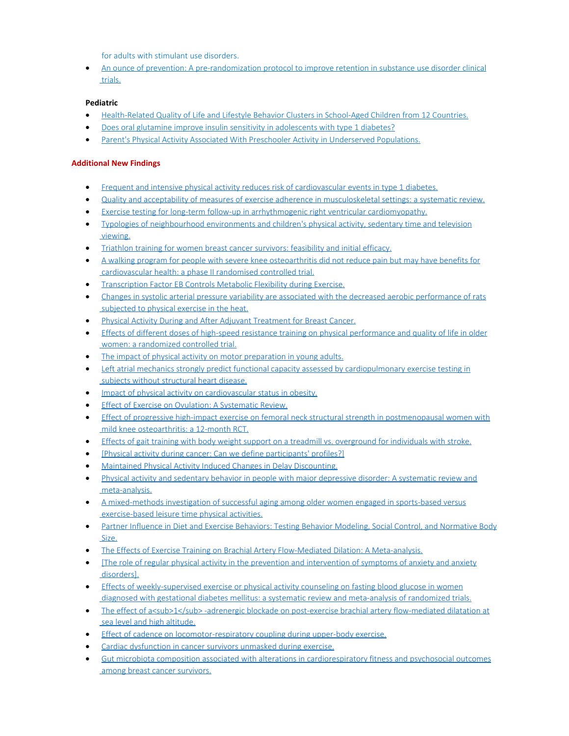[for adults with stimulant use disorders.](https://www.ncbi.nlm.nih.gov/pubmed/27693866)

· [An ounce of prevention: A pre-randomization protocol to improve retention in substance use disorder clinical](https://www.ncbi.nlm.nih.gov/pubmed/27610591) [trials.](https://www.ncbi.nlm.nih.gov/pubmed/27610591)

## **Pediatric**

- · [Health-Related Quality of Life and Lifestyle Behavior Clusters in School-Aged Children from 12 Countries.](https://www.ncbi.nlm.nih.gov/pubmed/28081885)
- [Does oral glutamine improve insulin sensitivity in adolescents with type 1 diabetes?](https://www.ncbi.nlm.nih.gov/pubmed/28063503)
- [Parent's Physical Activity Associated With Preschooler Activity in Underserved Populations.](https://www.ncbi.nlm.nih.gov/pubmed/28081998)

# **Additional New Findings**

- · [Frequent and intensive physical activity reduces risk of cardiovascular events in type 1 diabetes.](http://www.ncbi.nlm.nih.gov/pubmed/28013340)
- · [Quality and acceptability of measures of exercise adherence in musculoskeletal settings: a systematic review.](http://www.ncbi.nlm.nih.gov/pubmed/28013200)
- [Exercise testing for long-term follow-up in arrhythmogenic right ventricular cardiomyopathy.](http://www.ncbi.nlm.nih.gov/pubmed/28012557)
- · [Typologies of neighbourhood environments and children's physical activity, sedentary time and television](http://www.ncbi.nlm.nih.gov/pubmed/28012313) [viewing.](http://www.ncbi.nlm.nih.gov/pubmed/28012313)
- · [Triathlon training for women breast cancer survivors: feasibility and initial efficacy.](http://www.ncbi.nlm.nih.gov/pubmed/28012121)
- · [A walking program for people with severe knee osteoarthritis did not reduce pain but may have benefits for](http://www.ncbi.nlm.nih.gov/pubmed/28011099) [cardiovascular health: a phase II randomised controlled trial.](http://www.ncbi.nlm.nih.gov/pubmed/28011099)
- **[Transcription Factor EB Controls Metabolic Flexibility during Exercise.](http://www.ncbi.nlm.nih.gov/pubmed/28011087)**
- · [Changes in systolic arterial pressure variability are associated with the decreased aerobic performance of rats](http://www.ncbi.nlm.nih.gov/pubmed/28010813) [subjected to physical exercise in the heat.](http://www.ncbi.nlm.nih.gov/pubmed/28010813)
- · [Physical Activity During and After Adjuvant Treatment for Breast Cancer.](http://www.ncbi.nlm.nih.gov/pubmed/28008778)
- · [Effects of different doses of high-speed resistance training on physical performance and quality of life in older](http://www.ncbi.nlm.nih.gov/pubmed/28008239) [women: a randomized controlled trial.](http://www.ncbi.nlm.nih.gov/pubmed/28008239)
- [The impact of physical activity on motor preparation in young adults.](http://www.ncbi.nlm.nih.gov/pubmed/28007650)
- [Left atrial mechanics strongly predict functional capacity assessed by cardiopulmonary exercise testing in](http://www.ncbi.nlm.nih.gov/pubmed/28013417) [subjects without structural heart disease.](http://www.ncbi.nlm.nih.gov/pubmed/28013417)
- · [Impact of physical activity on cardiovascular status in obesity.](http://www.ncbi.nlm.nih.gov/pubmed/28036119)
- · [Effect of Exercise on Ovulation: A Systematic Review.](http://www.ncbi.nlm.nih.gov/pubmed/28035585)
- [Effect of progressive high-impact exercise on femoral neck structural strength in postmenopausal women with](http://www.ncbi.nlm.nih.gov/pubmed/28035445) [mild knee osteoarthritis: a 12-month RCT.](http://www.ncbi.nlm.nih.gov/pubmed/28035445)
- [Effects of gait training with body weight support on a treadmill vs. overground for individuals with stroke.](http://www.ncbi.nlm.nih.gov/pubmed/28034719)
- [\[Physical activity during cancer: Can we define participants' profiles?\]](http://www.ncbi.nlm.nih.gov/pubmed/28034441)
- [Maintained Physical Activity Induced Changes in Delay Discounting.](http://www.ncbi.nlm.nih.gov/pubmed/28033718)
- · [Physical activity and sedentary behavior in people with major depressive disorder: A systematic review and](http://www.ncbi.nlm.nih.gov/pubmed/28033521) [meta-analysis.](http://www.ncbi.nlm.nih.gov/pubmed/28033521)
- · [A mixed-methods investigation of successful aging among older women engaged in sports-based versus](http://www.ncbi.nlm.nih.gov/pubmed/28033489) [exercise-based leisure time physical activities.](http://www.ncbi.nlm.nih.gov/pubmed/28033489)
- · [Partner Influence in Diet and Exercise Behaviors: Testing Behavior Modeling, Social Control, and Normative Body](http://www.ncbi.nlm.nih.gov/pubmed/28033428) [Size.](http://www.ncbi.nlm.nih.gov/pubmed/28033428)
- · [The Effects of Exercise Training on Brachial Artery Flow-Mediated Dilation: A Meta-analysis.](http://www.ncbi.nlm.nih.gov/pubmed/28033167)
- [\[The role of regular physical activity in the prevention and intervention of symptoms of anxiety and anxiety](http://www.ncbi.nlm.nih.gov/pubmed/28032581) [disorders\].](http://www.ncbi.nlm.nih.gov/pubmed/28032581)
- [Effects of weekly-supervised exercise or physical activity counseling on fasting blood glucose in women](http://www.ncbi.nlm.nih.gov/pubmed/28032459) [diagnosed with gestational diabetes mellitus: a systematic review and meta-analysis of randomized trials.](http://www.ncbi.nlm.nih.gov/pubmed/28032459)
- [The effect of a<sub>1</sub> -adrenergic blockade on post-exercise brachial artery flow-mediated dilatation at](http://www.ncbi.nlm.nih.gov/pubmed/28032333) [sea level and high altitude.](http://www.ncbi.nlm.nih.gov/pubmed/28032333)
- [Effect of cadence on locomotor-respiratory coupling during upper-body exercise.](http://www.ncbi.nlm.nih.gov/pubmed/28032253)
- · [Cardiac dysfunction in cancer survivors unmasked during exercise.](http://www.ncbi.nlm.nih.gov/pubmed/28036108)
- [Gut microbiota composition associated with alterations in cardiorespiratory fitness and psychosocial outcomes](http://www.ncbi.nlm.nih.gov/pubmed/28064384) [among breast cancer survivors.](http://www.ncbi.nlm.nih.gov/pubmed/28064384)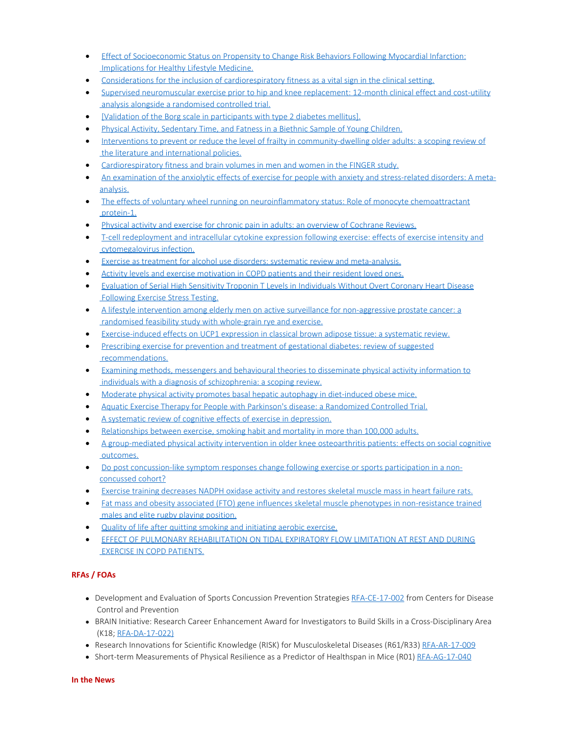- · [Effect of Socioeconomic Status on Propensity to Change Risk Behaviors Following Myocardial Infarction:](http://www.ncbi.nlm.nih.gov/pubmed/28063785) [Implications for Healthy Lifestyle Medicine.](http://www.ncbi.nlm.nih.gov/pubmed/28063785)
- · [Considerations for the inclusion of cardiorespiratory fitness as a vital sign in the clinical setting.](http://www.ncbi.nlm.nih.gov/pubmed/28063349)
- [Supervised neuromuscular exercise prior to hip and knee replacement: 12-month clinical effect and cost-utility](http://www.ncbi.nlm.nih.gov/pubmed/28061841) [analysis alongside a randomised controlled trial.](http://www.ncbi.nlm.nih.gov/pubmed/28061841)
- · [\[Validation of the Borg scale in participants with type 2 diabetes mellitus\].](http://www.ncbi.nlm.nih.gov/pubmed/28060977)
- [Physical Activity, Sedentary Time, and Fatness in a Biethnic Sample of Young Children.](http://www.ncbi.nlm.nih.gov/pubmed/28060034)
- · [Interventions to prevent or reduce the level of frailty in community-dwelling older adults: a scoping review of](http://www.ncbi.nlm.nih.gov/pubmed/28064173) [the literature and international policies.](http://www.ncbi.nlm.nih.gov/pubmed/28064173)
- [Cardiorespiratory fitness and brain volumes in men and women in the FINGER study.](http://www.ncbi.nlm.nih.gov/pubmed/28064170)
- [An examination of the anxiolytic effects of exercise for people with anxiety and stress-related disorders: A meta](http://www.ncbi.nlm.nih.gov/pubmed/28088704)[analysis.](http://www.ncbi.nlm.nih.gov/pubmed/28088704)
- · [The effects of voluntary wheel running on neuroinflammatory status: Role of monocyte chemoattractant](http://www.ncbi.nlm.nih.gov/pubmed/28088610) [protein-1.](http://www.ncbi.nlm.nih.gov/pubmed/28088610)
- · [Physical activity and exercise for chronic pain in adults: an overview of Cochrane Reviews.](http://www.ncbi.nlm.nih.gov/pubmed/28087891)
- · [T-cell redeployment and intracellular cytokine expression following exercise: effects of exercise intensity and](http://www.ncbi.nlm.nih.gov/pubmed/28087817) [cytomegalovirus infection.](http://www.ncbi.nlm.nih.gov/pubmed/28087817)
- · [Exercise as treatment for alcohol use disorders: systematic review and meta-analysis.](http://www.ncbi.nlm.nih.gov/pubmed/28087569)
- [Activity levels and exercise motivation in COPD patients and their resident loved ones.](http://www.ncbi.nlm.nih.gov/pubmed/28087303)
- · [Evaluation of Serial High Sensitivity Troponin T Levels in Individuals Without Overt Coronary Heart Disease](http://www.ncbi.nlm.nih.gov/pubmed/28087154) [Following Exercise Stress Testing.](http://www.ncbi.nlm.nih.gov/pubmed/28087154)
- · [A lifestyle intervention among elderly men on active surveillance for non-aggressive prostate cancer: a](http://www.ncbi.nlm.nih.gov/pubmed/28086943) [randomised feasibility study with whole-grain rye and exercise.](http://www.ncbi.nlm.nih.gov/pubmed/28086943)
- [Exercise-induced effects on UCP1 expression in classical brown adipose tissue: a systematic review.](http://www.ncbi.nlm.nih.gov/pubmed/28085671)
- · [Prescribing exercise for prevention and treatment of gestational diabetes: review of suggested](http://www.ncbi.nlm.nih.gov/pubmed/28084847) [recommendations.](http://www.ncbi.nlm.nih.gov/pubmed/28084847)
- · [Examining methods, messengers and behavioural theories to disseminate physical activity information to](http://www.ncbi.nlm.nih.gov/pubmed/28084841) [individuals with a diagnosis of schizophrenia: a scoping review.](http://www.ncbi.nlm.nih.gov/pubmed/28084841)
- · [Moderate physical activity promotes basal hepatic autophagy in diet-induced obese mice.](http://www.ncbi.nlm.nih.gov/pubmed/28084795)
- · [Aquatic Exercise Therapy for People with Parkinson's disease: a Randomized Controlled Trial.](http://www.ncbi.nlm.nih.gov/pubmed/28088380)
- · [A systematic review of cognitive effects of exercise in depression.](http://www.ncbi.nlm.nih.gov/pubmed/28110494)
- [Relationships between exercise, smoking habit and mortality in more than 100,000 adults.](http://www.ncbi.nlm.nih.gov/pubmed/28108995)
- · [A group-mediated physical activity intervention in older knee osteoarthritis patients: effects on social cognitive](http://www.ncbi.nlm.nih.gov/pubmed/28108936) [outcomes.](http://www.ncbi.nlm.nih.gov/pubmed/28108936)
- · [Do post concussion-like symptom responses change following exercise or sports participation in a non](http://www.ncbi.nlm.nih.gov/pubmed/28107556)[concussed cohort?](http://www.ncbi.nlm.nih.gov/pubmed/28107556)
- · [Exercise training decreases NADPH oxidase activity and restores skeletal muscle mass in heart failure rats.](http://www.ncbi.nlm.nih.gov/pubmed/28104751)
- · [Fat mass and obesity associated \(FTO\) gene influences skeletal muscle phenotypes in non-resistance trained](http://www.ncbi.nlm.nih.gov/pubmed/28103813) [males and elite rugby playing position.](http://www.ncbi.nlm.nih.gov/pubmed/28103813)
- · [Quality of life after quitting smoking and initiating aerobic exercise.](http://www.ncbi.nlm.nih.gov/pubmed/28103704)
- · [EFFECT OF PULMONARY REHABILITATION ON TIDAL EXPIRATORY FLOW LIMITATION AT REST AND DURING](http://www.ncbi.nlm.nih.gov/pubmed/28109942) [EXERCISE IN COPD PATIENTS.](http://www.ncbi.nlm.nih.gov/pubmed/28109942)

# **RFAs / FOAs**

- Development and Evaluation of Sports Concussion Prevention Strategies [RFA-CE-17-002](http://www.grants.gov/web/grants/search-grants.html?keywords=RFA-CE-17-002) from Centers for Disease Control and Prevention
- BRAIN Initiative: Research Career Enhancement Award for Investigators to Build Skills in a Cross-Disciplinary Area (K18; [RFA-DA-17-022\)](http://grants.nih.gov/grants/guide/rfa-files/RFA-DA-17-022.html)
- Research Innovations for Scientific Knowledge (RISK) for Musculoskeletal Diseases (R61/R33) [RFA-AR-17-009](https://grants.nih.gov/grants/guide/rfa-files/RFA-AR-17-009.html)
- Short-term Measurements of Physical Resilience as a Predictor of Healthspan in Mice (R01) [RFA-AG-17-040](https://grants.nih.gov/grants/guide/rfa-files/RFA-AG-17-040.html)